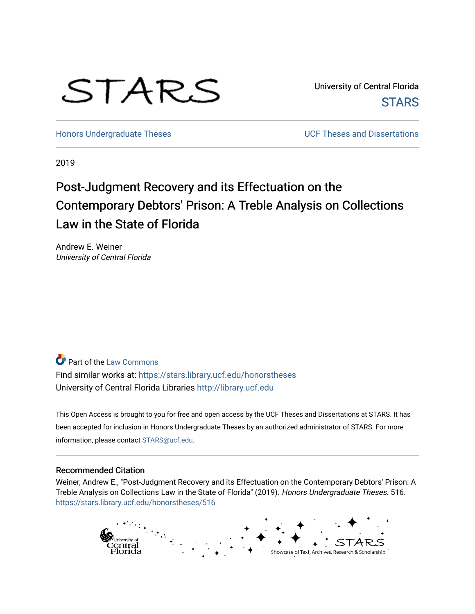# STARS

University of Central Florida **STARS** 

[Honors Undergraduate Theses](https://stars.library.ucf.edu/honorstheses) **No. 2018** UCF Theses and Dissertations

2019

# Post-Judgment Recovery and its Effectuation on the Contemporary Debtors' Prison: A Treble Analysis on Collections Law in the State of Florida

Andrew E. Weiner University of Central Florida

# Part of the [Law Commons](http://network.bepress.com/hgg/discipline/578?utm_source=stars.library.ucf.edu%2Fhonorstheses%2F516&utm_medium=PDF&utm_campaign=PDFCoverPages)

Find similar works at: <https://stars.library.ucf.edu/honorstheses> University of Central Florida Libraries [http://library.ucf.edu](http://library.ucf.edu/) 

This Open Access is brought to you for free and open access by the UCF Theses and Dissertations at STARS. It has been accepted for inclusion in Honors Undergraduate Theses by an authorized administrator of STARS. For more information, please contact [STARS@ucf.edu.](mailto:STARS@ucf.edu)

#### Recommended Citation

Weiner, Andrew E., "Post-Judgment Recovery and its Effectuation on the Contemporary Debtors' Prison: A Treble Analysis on Collections Law in the State of Florida" (2019). Honors Undergraduate Theses. 516. [https://stars.library.ucf.edu/honorstheses/516](https://stars.library.ucf.edu/honorstheses/516?utm_source=stars.library.ucf.edu%2Fhonorstheses%2F516&utm_medium=PDF&utm_campaign=PDFCoverPages) 

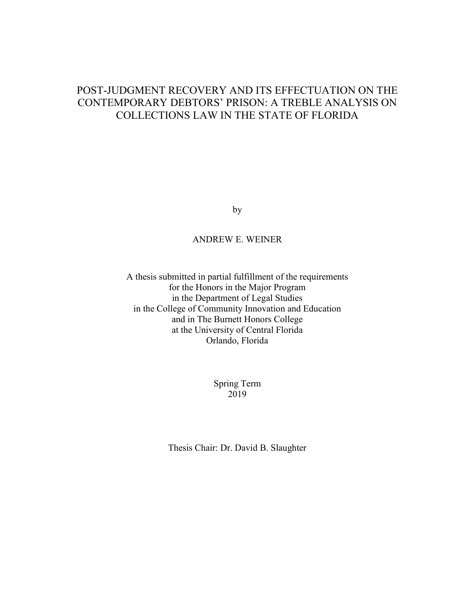# POST-JUDGMENT RECOVERY AND ITS EFFECTUATION ON THE CONTEMPORARY DEBTORS' PRISON: A TREBLE ANALYSIS ON COLLECTIONS LAW IN THE STATE OF FLORIDA

by

#### ANDREW E. WEINER

A thesis submitted in partial fulfillment of the requirements for the Honors in the Major Program in the Department of Legal Studies in the College of Community Innovation and Education and in The Burnett Honors College at the University of Central Florida Orlando, Florida

> Spring Term 2019

Thesis Chair: Dr. David B. Slaughter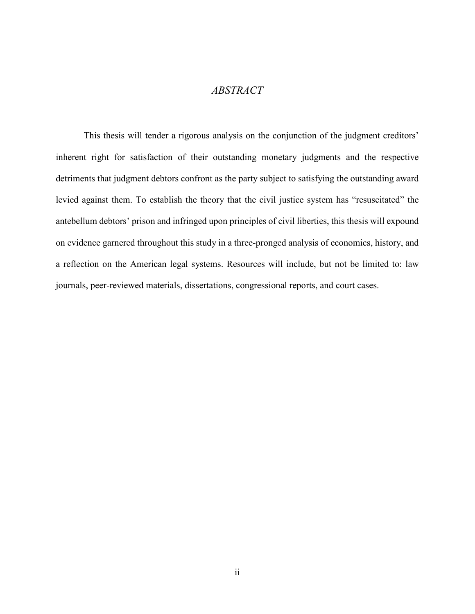## *ABSTRACT*

This thesis will tender a rigorous analysis on the conjunction of the judgment creditors' inherent right for satisfaction of their outstanding monetary judgments and the respective detriments that judgment debtors confront as the party subject to satisfying the outstanding award levied against them. To establish the theory that the civil justice system has "resuscitated" the antebellum debtors' prison and infringed upon principles of civil liberties, this thesis will expound on evidence garnered throughout this study in a three-pronged analysis of economics, history, and a reflection on the American legal systems. Resources will include, but not be limited to: law journals, peer-reviewed materials, dissertations, congressional reports, and court cases.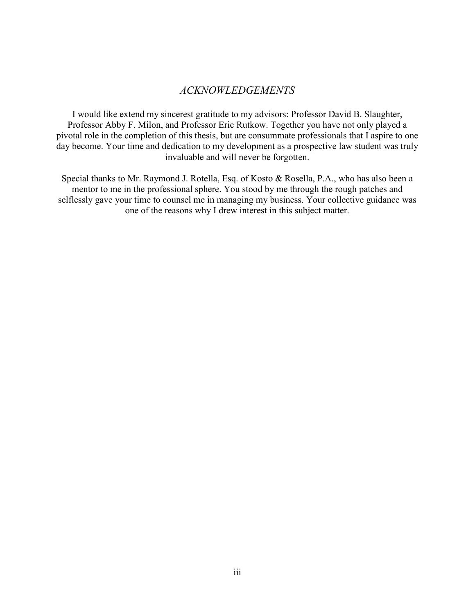## *ACKNOWLEDGEMENTS*

I would like extend my sincerest gratitude to my advisors: Professor David B. Slaughter, Professor Abby F. Milon, and Professor Eric Rutkow. Together you have not only played a pivotal role in the completion of this thesis, but are consummate professionals that I aspire to one day become. Your time and dedication to my development as a prospective law student was truly invaluable and will never be forgotten.

Special thanks to Mr. Raymond J. Rotella, Esq. of Kosto & Rosella, P.A., who has also been a mentor to me in the professional sphere. You stood by me through the rough patches and selflessly gave your time to counsel me in managing my business. Your collective guidance was one of the reasons why I drew interest in this subject matter.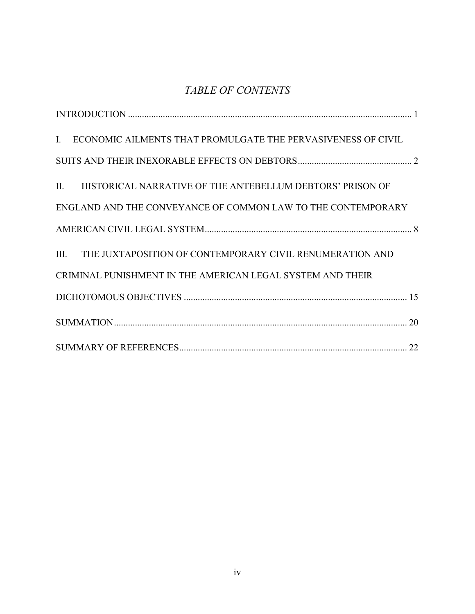# *TABLE OF CONTENTS*

| ECONOMIC AILMENTS THAT PROMULGATE THE PERVASIVENESS OF CIVIL<br>$\mathbf{I}$ . |
|--------------------------------------------------------------------------------|
|                                                                                |
| II. HISTORICAL NARRATIVE OF THE ANTEBELLUM DEBTORS' PRISON OF                  |
| ENGLAND AND THE CONVEYANCE OF COMMON LAW TO THE CONTEMPORARY                   |
|                                                                                |
| III. THE JUXTAPOSITION OF CONTEMPORARY CIVIL RENUMERATION AND                  |
| CRIMINAL PUNISHMENT IN THE AMERICAN LEGAL SYSTEM AND THEIR                     |
|                                                                                |
|                                                                                |
|                                                                                |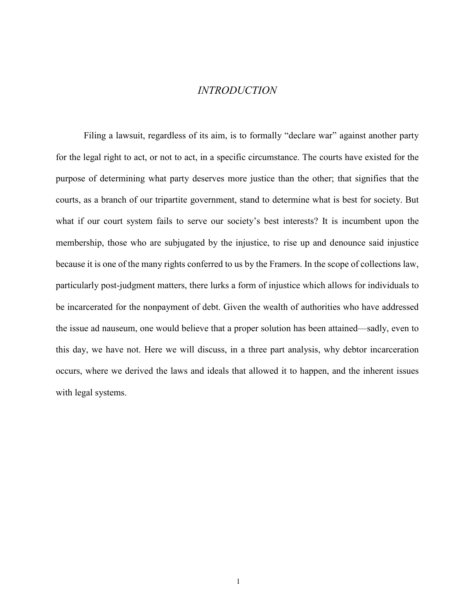#### *INTRODUCTION*

<span id="page-5-0"></span>Filing a lawsuit, regardless of its aim, is to formally "declare war" against another party for the legal right to act, or not to act, in a specific circumstance. The courts have existed for the purpose of determining what party deserves more justice than the other; that signifies that the courts, as a branch of our tripartite government, stand to determine what is best for society. But what if our court system fails to serve our society's best interests? It is incumbent upon the membership, those who are subjugated by the injustice, to rise up and denounce said injustice because it is one of the many rights conferred to us by the Framers. In the scope of collections law, particularly post-judgment matters, there lurks a form of injustice which allows for individuals to be incarcerated for the nonpayment of debt. Given the wealth of authorities who have addressed the issue ad nauseum, one would believe that a proper solution has been attained—sadly, even to this day, we have not. Here we will discuss, in a three part analysis, why debtor incarceration occurs, where we derived the laws and ideals that allowed it to happen, and the inherent issues with legal systems.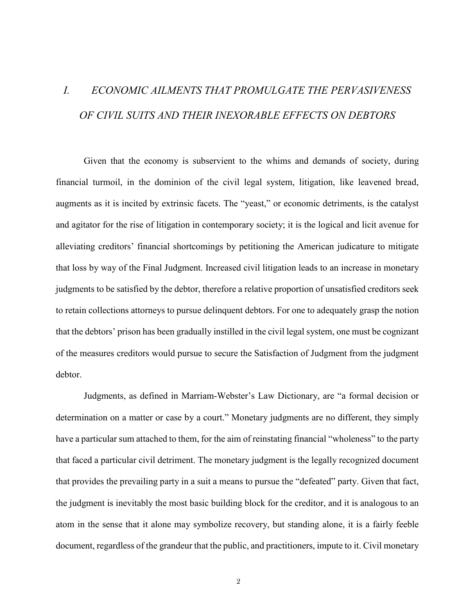# <span id="page-6-0"></span>*I. ECONOMIC AILMENTS THAT PROMULGATE THE PERVASIVENESS OF CIVIL SUITS AND THEIR INEXORABLE EFFECTS ON DEBTORS*

Given that the economy is subservient to the whims and demands of society, during financial turmoil, in the dominion of the civil legal system, litigation, like leavened bread, augments as it is incited by extrinsic facets. The "yeast," or economic detriments, is the catalyst and agitator for the rise of litigation in contemporary society; it is the logical and licit avenue for alleviating creditors' financial shortcomings by petitioning the American judicature to mitigate that loss by way of the Final Judgment. Increased civil litigation leads to an increase in monetary judgments to be satisfied by the debtor, therefore a relative proportion of unsatisfied creditors seek to retain collections attorneys to pursue delinquent debtors. For one to adequately grasp the notion that the debtors' prison has been gradually instilled in the civil legal system, one must be cognizant of the measures creditors would pursue to secure the Satisfaction of Judgment from the judgment debtor.

Judgments, as defined in Marriam-Webster's Law Dictionary, are "a formal decision or determination on a matter or case by a court." Monetary judgments are no different, they simply have a particular sum attached to them, for the aim of reinstating financial "wholeness" to the party that faced a particular civil detriment. The monetary judgment is the legally recognized document that provides the prevailing party in a suit a means to pursue the "defeated" party. Given that fact, the judgment is inevitably the most basic building block for the creditor, and it is analogous to an atom in the sense that it alone may symbolize recovery, but standing alone, it is a fairly feeble document, regardless of the grandeur that the public, and practitioners, impute to it. Civil monetary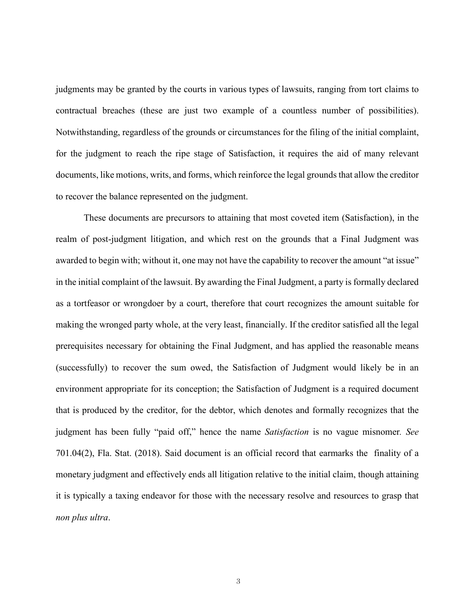judgments may be granted by the courts in various types of lawsuits, ranging from tort claims to contractual breaches (these are just two example of a countless number of possibilities). Notwithstanding, regardless of the grounds or circumstances for the filing of the initial complaint, for the judgment to reach the ripe stage of Satisfaction, it requires the aid of many relevant documents, like motions, writs, and forms, which reinforce the legal grounds that allow the creditor to recover the balance represented on the judgment.

These documents are precursors to attaining that most coveted item (Satisfaction), in the realm of post-judgment litigation, and which rest on the grounds that a Final Judgment was awarded to begin with; without it, one may not have the capability to recover the amount "at issue" in the initial complaint of the lawsuit. By awarding the Final Judgment, a party is formally declared as a tortfeasor or wrongdoer by a court, therefore that court recognizes the amount suitable for making the wronged party whole, at the very least, financially. If the creditor satisfied all the legal prerequisites necessary for obtaining the Final Judgment, and has applied the reasonable means (successfully) to recover the sum owed, the Satisfaction of Judgment would likely be in an environment appropriate for its conception; the Satisfaction of Judgment is a required document that is produced by the creditor, for the debtor, which denotes and formally recognizes that the judgment has been fully "paid off," hence the name *Satisfaction* is no vague misnomer*. See* 701.04(2), Fla. Stat. (2018). Said document is an official record that earmarks the finality of a monetary judgment and effectively ends all litigation relative to the initial claim, though attaining it is typically a taxing endeavor for those with the necessary resolve and resources to grasp that *non plus ultra*.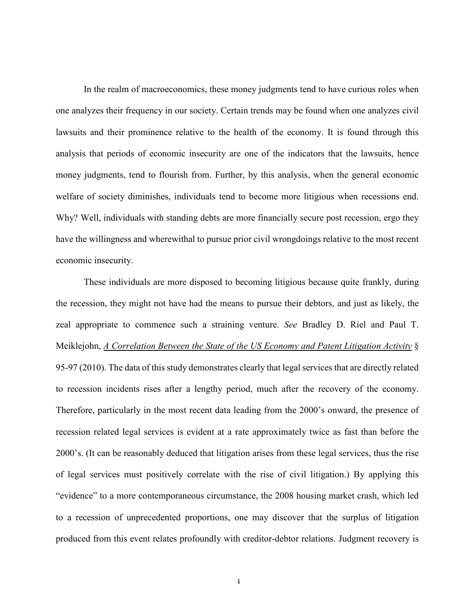In the realm of macroeconomics, these money judgments tend to have curious roles when one analyzes their frequency in our society. Certain trends may be found when one analyzes civil lawsuits and their prominence relative to the health of the economy. It is found through this analysis that periods of economic insecurity are one of the indicators that the lawsuits, hence money judgments, tend to flourish from. Further, by this analysis, when the general economic welfare of society diminishes, individuals tend to become more litigious when recessions end. Why? Well, individuals with standing debts are more financially secure post recession, ergo they have the willingness and wherewithal to pursue prior civil wrongdoings relative to the most recent economic insecurity.

These individuals are more disposed to becoming litigious because quite frankly, during the recession, they might not have had the means to pursue their debtors, and just as likely, the zeal appropriate to commence such a straining venture. *See* Bradley D. Riel and Paul T. Meiklejohn, *A Correlation Between the State of the US Economy and Patent Litigation Activity* § 95-97 (2010). The data of this study demonstrates clearly that legal services that are directly related to recession incidents rises after a lengthy period, much after the recovery of the economy. Therefore, particularly in the most recent data leading from the 2000's onward, the presence of recession related legal services is evident at a rate approximately twice as fast than before the 2000's. (It can be reasonably deduced that litigation arises from these legal services, thus the rise of legal services must positively correlate with the rise of civil litigation.) By applying this "evidence" to a more contemporaneous circumstance, the 2008 housing market crash, which led to a recession of unprecedented proportions, one may discover that the surplus of litigation produced from this event relates profoundly with creditor-debtor relations. Judgment recovery is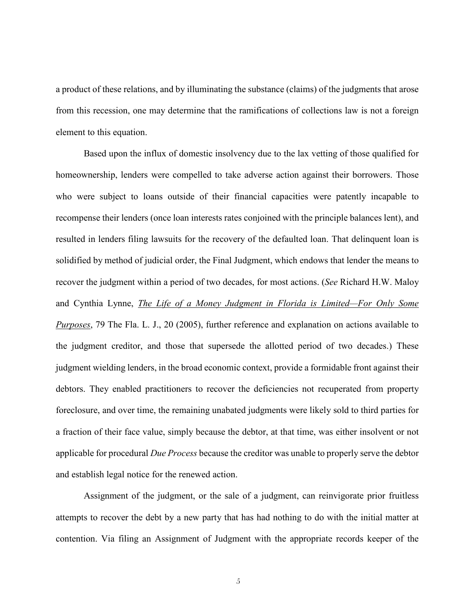a product of these relations, and by illuminating the substance (claims) of the judgments that arose from this recession, one may determine that the ramifications of collections law is not a foreign element to this equation.

Based upon the influx of domestic insolvency due to the lax vetting of those qualified for homeownership, lenders were compelled to take adverse action against their borrowers. Those who were subject to loans outside of their financial capacities were patently incapable to recompense their lenders (once loan interests rates conjoined with the principle balances lent), and resulted in lenders filing lawsuits for the recovery of the defaulted loan. That delinquent loan is solidified by method of judicial order, the Final Judgment, which endows that lender the means to recover the judgment within a period of two decades, for most actions. (*See* Richard H.W. Maloy and Cynthia Lynne, *The Life of a Money Judgment in Florida is Limited—For Only Some Purposes*, 79 The Fla. L. J., 20 (2005), further reference and explanation on actions available to the judgment creditor, and those that supersede the allotted period of two decades.) These judgment wielding lenders, in the broad economic context, provide a formidable front against their debtors. They enabled practitioners to recover the deficiencies not recuperated from property foreclosure, and over time, the remaining unabated judgments were likely sold to third parties for a fraction of their face value, simply because the debtor, at that time, was either insolvent or not applicable for procedural *Due Process* because the creditor was unable to properly serve the debtor and establish legal notice for the renewed action.

Assignment of the judgment, or the sale of a judgment, can reinvigorate prior fruitless attempts to recover the debt by a new party that has had nothing to do with the initial matter at contention. Via filing an Assignment of Judgment with the appropriate records keeper of the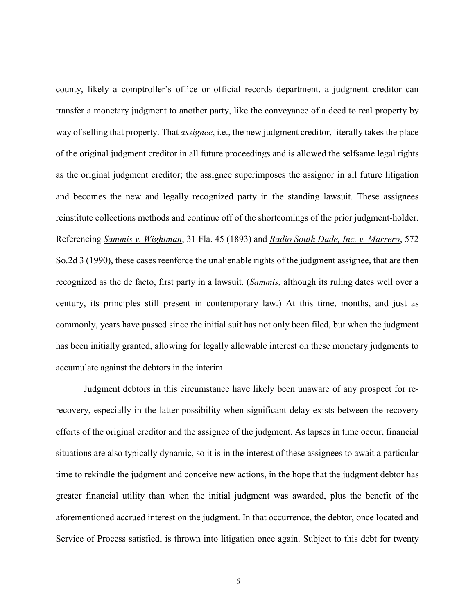county, likely a comptroller's office or official records department, a judgment creditor can transfer a monetary judgment to another party, like the conveyance of a deed to real property by way of selling that property. That *assignee*, i.e., the new judgment creditor, literally takes the place of the original judgment creditor in all future proceedings and is allowed the selfsame legal rights as the original judgment creditor; the assignee superimposes the assignor in all future litigation and becomes the new and legally recognized party in the standing lawsuit. These assignees reinstitute collections methods and continue off of the shortcomings of the prior judgment-holder. Referencing *Sammis v. Wightman*, 31 Fla. 45 (1893) and *Radio South Dade, Inc. v. Marrero*, 572 So.2d 3 (1990), these cases reenforce the unalienable rights of the judgment assignee, that are then recognized as the de facto, first party in a lawsuit. (*Sammis,* although its ruling dates well over a century, its principles still present in contemporary law.) At this time, months, and just as commonly, years have passed since the initial suit has not only been filed, but when the judgment has been initially granted, allowing for legally allowable interest on these monetary judgments to accumulate against the debtors in the interim.

Judgment debtors in this circumstance have likely been unaware of any prospect for rerecovery, especially in the latter possibility when significant delay exists between the recovery efforts of the original creditor and the assignee of the judgment. As lapses in time occur, financial situations are also typically dynamic, so it is in the interest of these assignees to await a particular time to rekindle the judgment and conceive new actions, in the hope that the judgment debtor has greater financial utility than when the initial judgment was awarded, plus the benefit of the aforementioned accrued interest on the judgment. In that occurrence, the debtor, once located and Service of Process satisfied, is thrown into litigation once again. Subject to this debt for twenty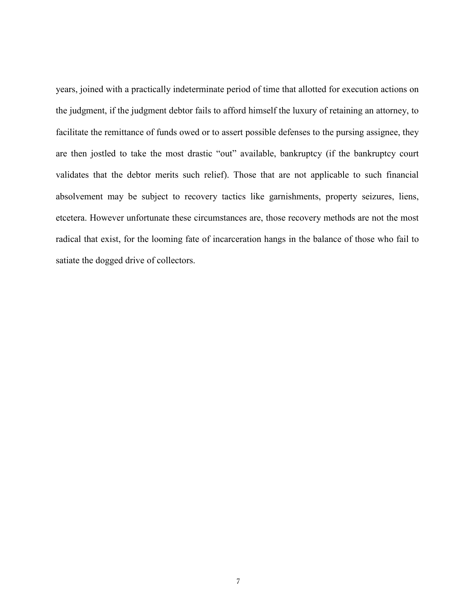years, joined with a practically indeterminate period of time that allotted for execution actions on the judgment, if the judgment debtor fails to afford himself the luxury of retaining an attorney, to facilitate the remittance of funds owed or to assert possible defenses to the pursing assignee, they are then jostled to take the most drastic "out" available, bankruptcy (if the bankruptcy court validates that the debtor merits such relief). Those that are not applicable to such financial absolvement may be subject to recovery tactics like garnishments, property seizures, liens, etcetera. However unfortunate these circumstances are, those recovery methods are not the most radical that exist, for the looming fate of incarceration hangs in the balance of those who fail to satiate the dogged drive of collectors.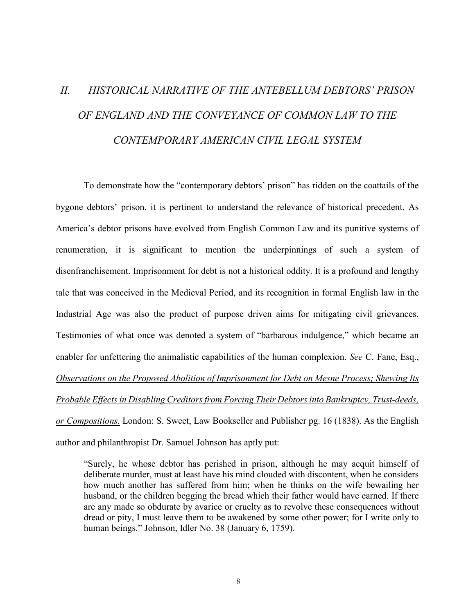# <span id="page-12-0"></span>*II. HISTORICAL NARRATIVE OF THE ANTEBELLUM DEBTORS' PRISON OF ENGLAND AND THE CONVEYANCE OF COMMON LAW TO THE CONTEMPORARY AMERICAN CIVIL LEGAL SYSTEM*

To demonstrate how the "contemporary debtors' prison" has ridden on the coattails of the bygone debtors' prison, it is pertinent to understand the relevance of historical precedent. As America's debtor prisons have evolved from English Common Law and its punitive systems of renumeration, it is significant to mention the underpinnings of such a system of disenfranchisement. Imprisonment for debt is not a historical oddity. It is a profound and lengthy tale that was conceived in the Medieval Period, and its recognition in formal English law in the Industrial Age was also the product of purpose driven aims for mitigating civil grievances. Testimonies of what once was denoted a system of "barbarous indulgence," which became an enabler for unfettering the animalistic capabilities of the human complexion. *See* C. Fane, Esq., *Observations on the Proposed Abolition of Imprisonment for Debt on Mesne Process; Shewing Its Probable Effectsin Disabling Creditorsfrom Forcing Their Debtorsinto Bankruptcy, Trust-deeds, or Compositions.* London: S. Sweet, Law Bookseller and Publisher pg. 16 (1838). As the English author and philanthropist Dr. Samuel Johnson has aptly put:

"Surely, he whose debtor has perished in prison, although he may acquit himself of deliberate murder, must at least have his mind clouded with discontent, when he considers how much another has suffered from him; when he thinks on the wife bewailing her husband, or the children begging the bread which their father would have earned. If there are any made so obdurate by avarice or cruelty as to revolve these consequences without dread or pity, I must leave them to be awakened by some other power; for I write only to human beings." Johnson, Idler No. 38 (January 6, 1759).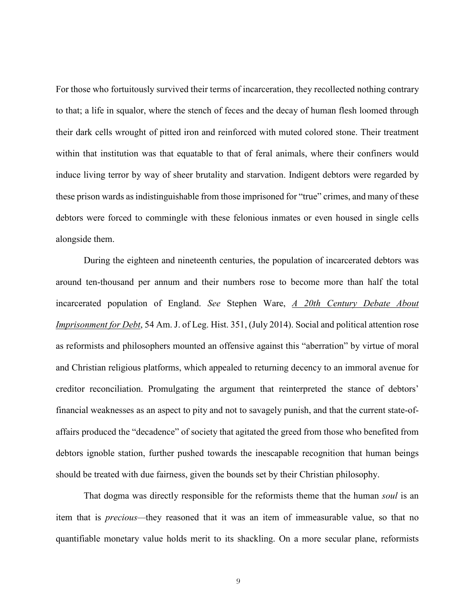For those who fortuitously survived their terms of incarceration, they recollected nothing contrary to that; a life in squalor, where the stench of feces and the decay of human flesh loomed through their dark cells wrought of pitted iron and reinforced with muted colored stone. Their treatment within that institution was that equatable to that of feral animals, where their confiners would induce living terror by way of sheer brutality and starvation. Indigent debtors were regarded by these prison wards as indistinguishable from those imprisoned for "true" crimes, and many of these debtors were forced to commingle with these felonious inmates or even housed in single cells alongside them.

During the eighteen and nineteenth centuries, the population of incarcerated debtors was around ten-thousand per annum and their numbers rose to become more than half the total incarcerated population of England. *See* Stephen Ware, *A 20th Century Debate About Imprisonment for Debt*, 54 Am. J. of Leg. Hist. 351, (July 2014). Social and political attention rose as reformists and philosophers mounted an offensive against this "aberration" by virtue of moral and Christian religious platforms, which appealed to returning decency to an immoral avenue for creditor reconciliation. Promulgating the argument that reinterpreted the stance of debtors' financial weaknesses as an aspect to pity and not to savagely punish, and that the current state-ofaffairs produced the "decadence" of society that agitated the greed from those who benefited from debtors ignoble station, further pushed towards the inescapable recognition that human beings should be treated with due fairness, given the bounds set by their Christian philosophy.

That dogma was directly responsible for the reformists theme that the human *soul* is an item that is *precious—*they reasoned that it was an item of immeasurable value, so that no quantifiable monetary value holds merit to its shackling. On a more secular plane, reformists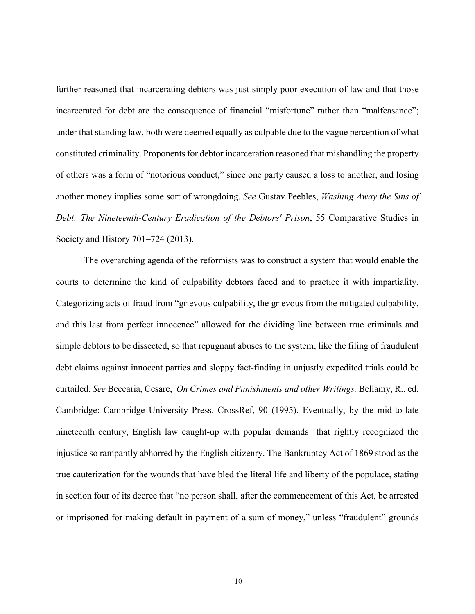further reasoned that incarcerating debtors was just simply poor execution of law and that those incarcerated for debt are the consequence of financial "misfortune" rather than "malfeasance"; under that standing law, both were deemed equally as culpable due to the vague perception of what constituted criminality. Proponents for debtor incarceration reasoned that mishandling the property of others was a form of "notorious conduct," since one party caused a loss to another, and losing another money implies some sort of wrongdoing. *See* Gustav Peebles, *Washing Away the Sins of Debt: The Nineteenth-Century Eradication of the Debtors' Prison*, 55 Comparative Studies in Society and History 701–724 (2013).

The overarching agenda of the reformists was to construct a system that would enable the courts to determine the kind of culpability debtors faced and to practice it with impartiality. Categorizing acts of fraud from "grievous culpability, the grievous from the mitigated culpability, and this last from perfect innocence" allowed for the dividing line between true criminals and simple debtors to be dissected, so that repugnant abuses to the system, like the filing of fraudulent debt claims against innocent parties and sloppy fact-finding in unjustly expedited trials could be curtailed. *See* Beccaria, Cesare, *On Crimes and Punishments and other Writings,* Bellamy, R., ed. Cambridge: Cambridge University Press. [CrossRef,](http://dx.doi.org/10.1017/CBO9780511802485) 90 (1995). Eventually, by the mid-to-late nineteenth century, English law caught-up with popular demands that rightly recognized the injustice so rampantly abhorred by the English citizenry. The Bankruptcy Act of 1869 stood as the true cauterization for the wounds that have bled the literal life and liberty of the populace, stating in section four of its decree that "no person shall, after the commencement of this Act, be arrested or imprisoned for making default in payment of a sum of money," unless "fraudulent" grounds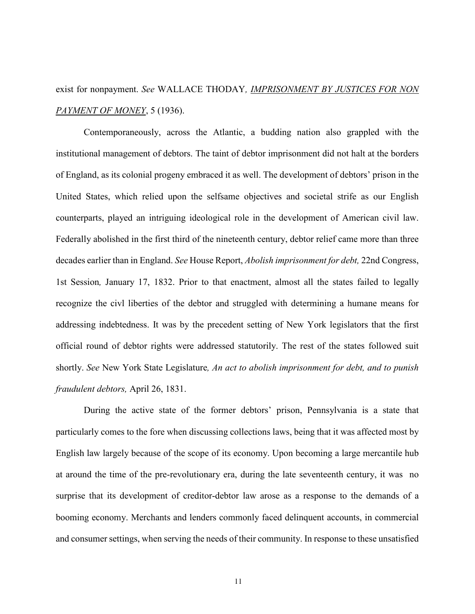exist for nonpayment. *See* WALLACE THODAY*, IMPRISONMENT BY JUSTICES FOR NON PAYMENT OF MONEY*, 5 (1936).

Contemporaneously, across the Atlantic, a budding nation also grappled with the institutional management of debtors. The taint of debtor imprisonment did not halt at the borders of England, as its colonial progeny embraced it as well. The development of debtors' prison in the United States, which relied upon the selfsame objectives and societal strife as our English counterparts, played an intriguing ideological role in the development of American civil law. Federally abolished in the first third of the nineteenth century, debtor relief came more than three decades earlier than in England. *See* House Report, *Abolish imprisonment for debt,* 22nd Congress, 1st Session*,* January 17, 1832. Prior to that enactment, almost all the states failed to legally recognize the civl liberties of the debtor and struggled with determining a humane means for addressing indebtedness. It was by the precedent setting of New York legislators that the first official round of debtor rights were addressed statutorily. The rest of the states followed suit shortly. *See* New York State Legislature*, An act to abolish imprisonment for debt, and to punish fraudulent debtors,* April 26, 1831.

During the active state of the former debtors' prison, Pennsylvania is a state that particularly comes to the fore when discussing collections laws, being that it was affected most by English law largely because of the scope of its economy. Upon becoming a large mercantile hub at around the time of the pre-revolutionary era, during the late seventeenth century, it was no surprise that its development of creditor-debtor law arose as a response to the demands of a booming economy. Merchants and lenders commonly faced delinquent accounts, in commercial and consumer settings, when serving the needs of their community. In response to these unsatisfied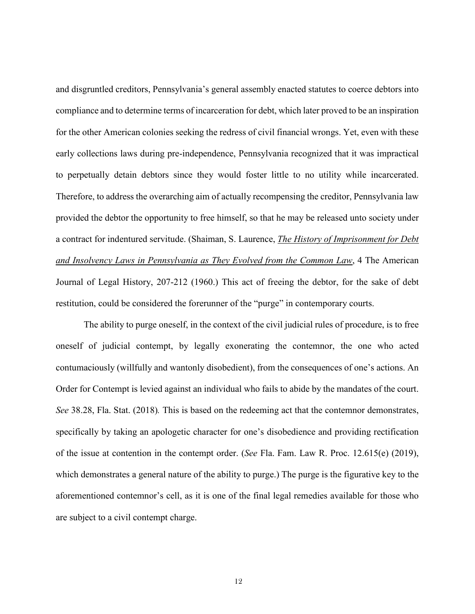and disgruntled creditors, Pennsylvania's general assembly enacted statutes to coerce debtors into compliance and to determine terms of incarceration for debt, which later proved to be an inspiration for the other American colonies seeking the redress of civil financial wrongs. Yet, even with these early collections laws during pre-independence, Pennsylvania recognized that it was impractical to perpetually detain debtors since they would foster little to no utility while incarcerated. Therefore, to address the overarching aim of actually recompensing the creditor, Pennsylvania law provided the debtor the opportunity to free himself, so that he may be released unto society under a contract for indentured servitude. (Shaiman, S. Laurence, *The History of Imprisonment for Debt and Insolvency Laws in Pennsylvania as They Evolved from the Common Law*, 4 The American Journal of Legal History, 207-212 (1960.) This act of freeing the debtor, for the sake of debt restitution, could be considered the forerunner of the "purge" in contemporary courts.

The ability to purge oneself, in the context of the civil judicial rules of procedure, is to free oneself of judicial contempt, by legally exonerating the contemnor, the one who acted contumaciously (willfully and wantonly disobedient), from the consequences of one's actions. An Order for Contempt is levied against an individual who fails to abide by the mandates of the court. *See* 38.28, Fla. Stat. (2018)*.* This is based on the redeeming act that the contemnor demonstrates, specifically by taking an apologetic character for one's disobedience and providing rectification of the issue at contention in the contempt order. (*See* Fla. Fam. Law R. Proc. 12.615(e) (2019), which demonstrates a general nature of the ability to purge.) The purge is the figurative key to the aforementioned contemnor's cell, as it is one of the final legal remedies available for those who are subject to a civil contempt charge.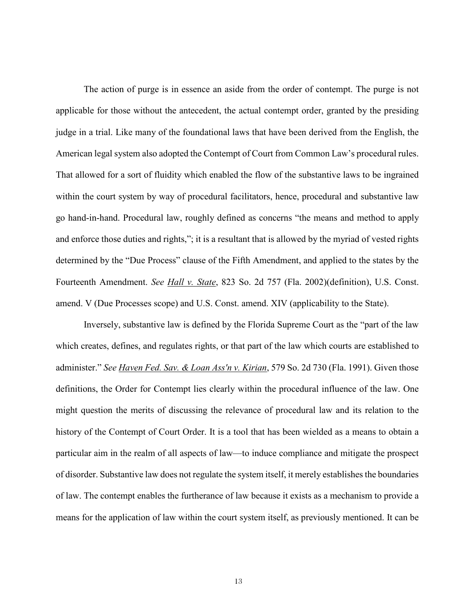The action of purge is in essence an aside from the order of contempt. The purge is not applicable for those without the antecedent, the actual contempt order, granted by the presiding judge in a trial. Like many of the foundational laws that have been derived from the English, the American legal system also adopted the Contempt of Court from Common Law's procedural rules. That allowed for a sort of fluidity which enabled the flow of the substantive laws to be ingrained within the court system by way of procedural facilitators, hence, procedural and substantive law go hand-in-hand. Procedural law, roughly defined as concerns "the means and method to apply and enforce those duties and rights,"; it is a resultant that is allowed by the myriad of vested rights determined by the "Due Process" clause of the Fifth Amendment, and applied to the states by the Fourteenth Amendment. *See Hall v. State*, 823 So. 2d 757 (Fla. 2002)(definition), U.S. Const. amend. V (Due Processes scope) and U.S. Const. amend. XIV (applicability to the State).

Inversely, substantive law is defined by the Florida Supreme Court as the "part of the law which creates, defines, and regulates rights, or that part of the law which courts are established to administer." *See Haven Fed. Sav. & Loan Ass'n v. Kirian*, 579 So. 2d 730 (Fla. 1991). Given those definitions, the Order for Contempt lies clearly within the procedural influence of the law. One might question the merits of discussing the relevance of procedural law and its relation to the history of the Contempt of Court Order. It is a tool that has been wielded as a means to obtain a particular aim in the realm of all aspects of law—to induce compliance and mitigate the prospect of disorder. Substantive law does not regulate the system itself, it merely establishes the boundaries of law. The contempt enables the furtherance of law because it exists as a mechanism to provide a means for the application of law within the court system itself, as previously mentioned. It can be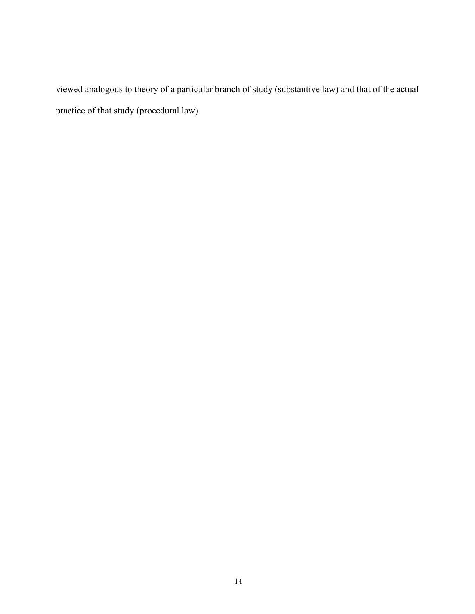viewed analogous to theory of a particular branch of study (substantive law) and that of the actual practice of that study (procedural law).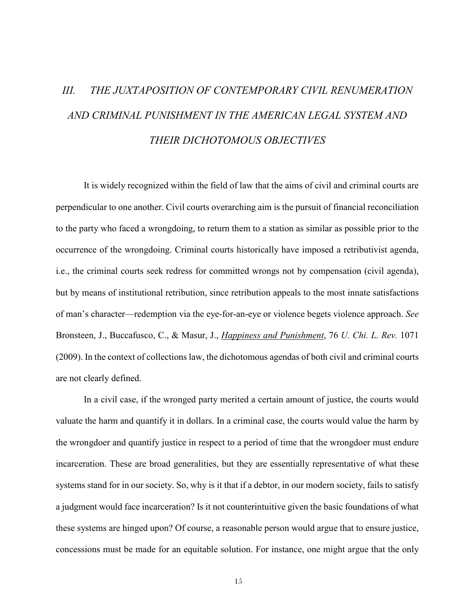# <span id="page-19-0"></span>*III. THE JUXTAPOSITION OF CONTEMPORARY CIVIL RENUMERATION AND CRIMINAL PUNISHMENT IN THE AMERICAN LEGAL SYSTEM AND THEIR DICHOTOMOUS OBJECTIVES*

It is widely recognized within the field of law that the aims of civil and criminal courts are perpendicular to one another. Civil courts overarching aim is the pursuit of financial reconciliation to the party who faced a wrongdoing, to return them to a station as similar as possible prior to the occurrence of the wrongdoing. Criminal courts historically have imposed a retributivist agenda, i.e., the criminal courts seek redress for committed wrongs not by compensation (civil agenda), but by means of institutional retribution, since retribution appeals to the most innate satisfactions of man's character—redemption via the eye-for-an-eye or violence begets violence approach. *See* Bronsteen, J., Buccafusco, C., & Masur, J., *Happiness and Punishment*, 76 *U. Chi. L. Rev.* 1071 (2009). In the context of collections law, the dichotomous agendas of both civil and criminal courts are not clearly defined.

In a civil case, if the wronged party merited a certain amount of justice, the courts would valuate the harm and quantify it in dollars. In a criminal case, the courts would value the harm by the wrongdoer and quantify justice in respect to a period of time that the wrongdoer must endure incarceration. These are broad generalities, but they are essentially representative of what these systems stand for in our society. So, why is it that if a debtor, in our modern society, fails to satisfy a judgment would face incarceration? Is it not counterintuitive given the basic foundations of what these systems are hinged upon? Of course, a reasonable person would argue that to ensure justice, concessions must be made for an equitable solution. For instance, one might argue that the only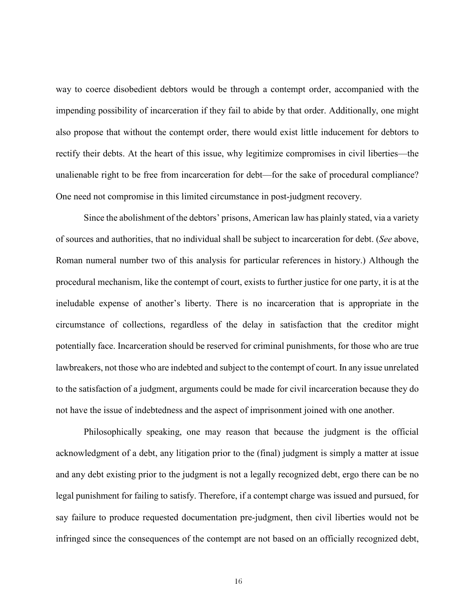way to coerce disobedient debtors would be through a contempt order, accompanied with the impending possibility of incarceration if they fail to abide by that order. Additionally, one might also propose that without the contempt order, there would exist little inducement for debtors to rectify their debts. At the heart of this issue, why legitimize compromises in civil liberties—the unalienable right to be free from incarceration for debt—for the sake of procedural compliance? One need not compromise in this limited circumstance in post-judgment recovery.

Since the abolishment of the debtors' prisons, American law has plainly stated, via a variety of sources and authorities, that no individual shall be subject to incarceration for debt. (*See* above, Roman numeral number two of this analysis for particular references in history.) Although the procedural mechanism, like the contempt of court, exists to further justice for one party, it is at the ineludable expense of another's liberty. There is no incarceration that is appropriate in the circumstance of collections, regardless of the delay in satisfaction that the creditor might potentially face. Incarceration should be reserved for criminal punishments, for those who are true lawbreakers, not those who are indebted and subject to the contempt of court. In any issue unrelated to the satisfaction of a judgment, arguments could be made for civil incarceration because they do not have the issue of indebtedness and the aspect of imprisonment joined with one another.

Philosophically speaking, one may reason that because the judgment is the official acknowledgment of a debt, any litigation prior to the (final) judgment is simply a matter at issue and any debt existing prior to the judgment is not a legally recognized debt, ergo there can be no legal punishment for failing to satisfy. Therefore, if a contempt charge was issued and pursued, for say failure to produce requested documentation pre-judgment, then civil liberties would not be infringed since the consequences of the contempt are not based on an officially recognized debt,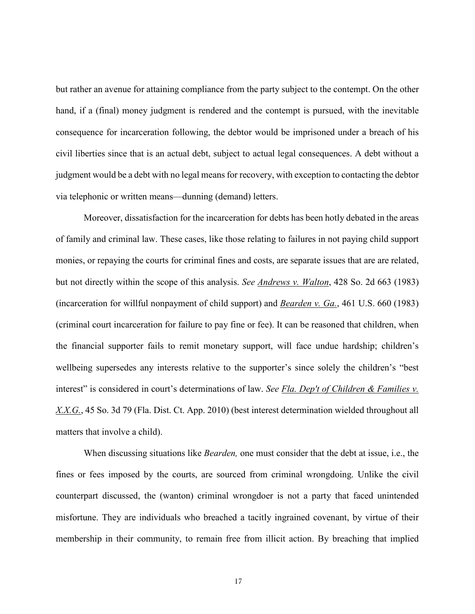but rather an avenue for attaining compliance from the party subject to the contempt. On the other hand, if a (final) money judgment is rendered and the contempt is pursued, with the inevitable consequence for incarceration following, the debtor would be imprisoned under a breach of his civil liberties since that is an actual debt, subject to actual legal consequences. A debt without a judgment would be a debt with no legal means for recovery, with exception to contacting the debtor via telephonic or written means—dunning (demand) letters.

Moreover, dissatisfaction for the incarceration for debts has been hotly debated in the areas of family and criminal law. These cases, like those relating to failures in not paying child support monies, or repaying the courts for criminal fines and costs, are separate issues that are are related, but not directly within the scope of this analysis. *See Andrews v. Walton*, 428 So. 2d 663 (1983) (incarceration for willful nonpayment of child support) and *Bearden v. Ga.*, 461 U.S. 660 (1983) (criminal court incarceration for failure to pay fine or fee). It can be reasoned that children, when the financial supporter fails to remit monetary support, will face undue hardship; children's wellbeing supersedes any interests relative to the supporter's since solely the children's "best interest" is considered in court's determinations of law. *See Fla. Dep't of Children & Families v. X.X.G.*, 45 So. 3d 79 (Fla. Dist. Ct. App. 2010) (best interest determination wielded throughout all matters that involve a child).

When discussing situations like *Bearden,* one must consider that the debt at issue, i.e., the fines or fees imposed by the courts, are sourced from criminal wrongdoing. Unlike the civil counterpart discussed, the (wanton) criminal wrongdoer is not a party that faced unintended misfortune. They are individuals who breached a tacitly ingrained covenant, by virtue of their membership in their community, to remain free from illicit action. By breaching that implied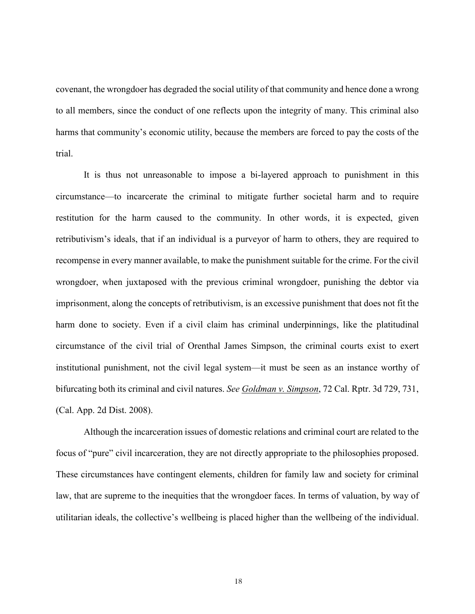covenant, the wrongdoer has degraded the social utility of that community and hence done a wrong to all members, since the conduct of one reflects upon the integrity of many. This criminal also harms that community's economic utility, because the members are forced to pay the costs of the trial.

It is thus not unreasonable to impose a bi-layered approach to punishment in this circumstance—to incarcerate the criminal to mitigate further societal harm and to require restitution for the harm caused to the community. In other words, it is expected, given retributivism's ideals, that if an individual is a purveyor of harm to others, they are required to recompense in every manner available, to make the punishment suitable for the crime. For the civil wrongdoer, when juxtaposed with the previous criminal wrongdoer, punishing the debtor via imprisonment, along the concepts of retributivism, is an excessive punishment that does not fit the harm done to society. Even if a civil claim has criminal underpinnings, like the platitudinal circumstance of the civil trial of Orenthal James Simpson, the criminal courts exist to exert institutional punishment, not the civil legal system—it must be seen as an instance worthy of bifurcating both its criminal and civil natures. *See Goldman v. Simpson*, 72 Cal. Rptr. 3d 729, 731, (Cal. App. 2d Dist. 2008).

Although the incarceration issues of domestic relations and criminal court are related to the focus of "pure" civil incarceration, they are not directly appropriate to the philosophies proposed. These circumstances have contingent elements, children for family law and society for criminal law, that are supreme to the inequities that the wrongdoer faces. In terms of valuation, by way of utilitarian ideals, the collective's wellbeing is placed higher than the wellbeing of the individual.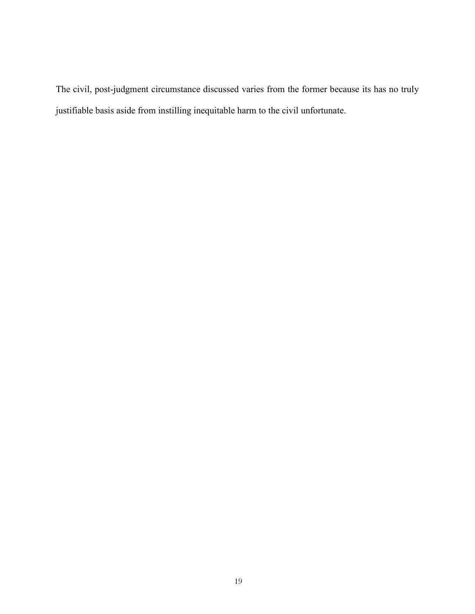The civil, post-judgment circumstance discussed varies from the former because its has no truly justifiable basis aside from instilling inequitable harm to the civil unfortunate.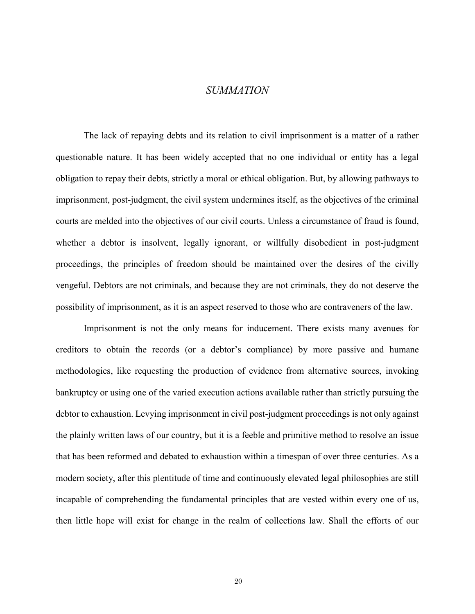### *SUMMATION*

<span id="page-24-0"></span>The lack of repaying debts and its relation to civil imprisonment is a matter of a rather questionable nature. It has been widely accepted that no one individual or entity has a legal obligation to repay their debts, strictly a moral or ethical obligation. But, by allowing pathways to imprisonment, post-judgment, the civil system undermines itself, as the objectives of the criminal courts are melded into the objectives of our civil courts. Unless a circumstance of fraud is found, whether a debtor is insolvent, legally ignorant, or willfully disobedient in post-judgment proceedings, the principles of freedom should be maintained over the desires of the civilly vengeful. Debtors are not criminals, and because they are not criminals, they do not deserve the possibility of imprisonment, as it is an aspect reserved to those who are contraveners of the law.

Imprisonment is not the only means for inducement. There exists many avenues for creditors to obtain the records (or a debtor's compliance) by more passive and humane methodologies, like requesting the production of evidence from alternative sources, invoking bankruptcy or using one of the varied execution actions available rather than strictly pursuing the debtor to exhaustion. Levying imprisonment in civil post-judgment proceedings is not only against the plainly written laws of our country, but it is a feeble and primitive method to resolve an issue that has been reformed and debated to exhaustion within a timespan of over three centuries. As a modern society, after this plentitude of time and continuously elevated legal philosophies are still incapable of comprehending the fundamental principles that are vested within every one of us, then little hope will exist for change in the realm of collections law. Shall the efforts of our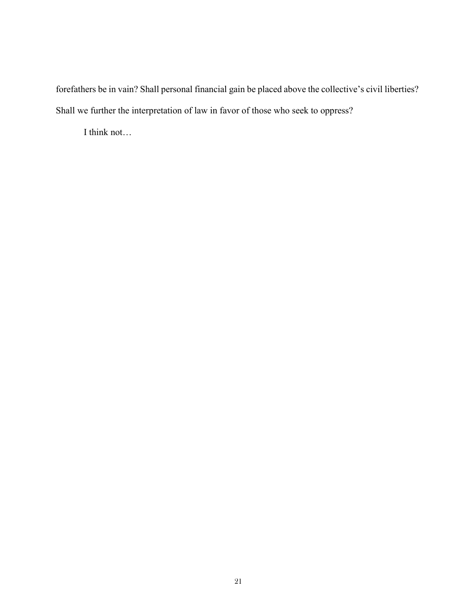forefathers be in vain? Shall personal financial gain be placed above the collective's civil liberties? Shall we further the interpretation of law in favor of those who seek to oppress?

I think not…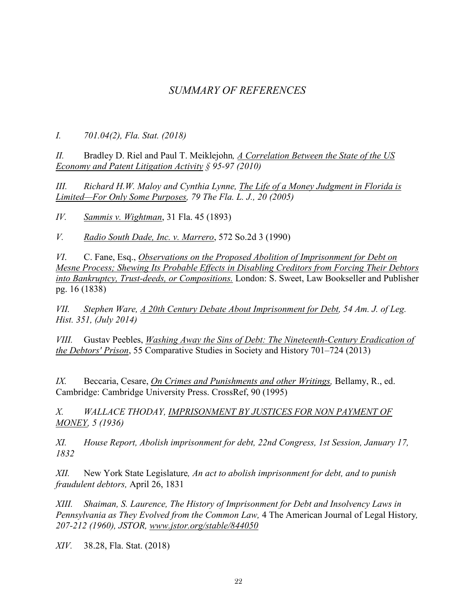## *SUMMARY OF REFERENCES*

<span id="page-26-0"></span>*I. 701.04(2), Fla. Stat. (2018)* 

*II.* Bradley D. Riel and Paul T. Meiklejohn*, A Correlation Between the State of the US Economy and Patent Litigation Activity § 95-97 (2010)*

*III. Richard H.W. Maloy and Cynthia Lynne, The Life of a Money Judgment in Florida is Limited—For Only Some Purposes, 79 The Fla. L. J., 20 (2005)*

*IV. Sammis v. Wightman*, 31 Fla. 45 (1893)

*V. Radio South Dade, Inc. v. Marrero*, 572 So.2d 3 (1990)

*VI*. C. Fane, Esq., *Observations on the Proposed Abolition of Imprisonment for Debt on Mesne Process; Shewing Its Probable Effects in Disabling Creditors from Forcing Their Debtors into Bankruptcy, Trust-deeds, or Compositions.* London: S. Sweet, Law Bookseller and Publisher pg. 16 (1838)

*VII. Stephen Ware, A 20th Century Debate About Imprisonment for Debt, 54 Am. J. of Leg. Hist. 351, (July 2014)*

*VIII.* Gustav Peebles, *Washing Away the Sins of Debt: The Nineteenth-Century Eradication of the Debtors' Prison*, 55 Comparative Studies in Society and History 701–724 (2013)

*IX.* Beccaria, Cesare, *On Crimes and Punishments and other Writings,* Bellamy, R., ed. Cambridge: Cambridge University Press. [CrossRef,](http://dx.doi.org/10.1017/CBO9780511802485) 90 (1995)

*X. WALLACE THODAY, IMPRISONMENT BY JUSTICES FOR NON PAYMENT OF MONEY, 5 (1936)*

*XI. House Report, Abolish imprisonment for debt, 22nd Congress, 1st Session, January 17, 1832*

*XII.* New York State Legislature*, An act to abolish imprisonment for debt, and to punish fraudulent debtors,* April 26, 1831

*XIII. Shaiman, S. Laurence, The History of Imprisonment for Debt and Insolvency Laws in Pennsylvania as They Evolved from the Common Law,* 4 The American Journal of Legal History*, 207-212 (1960), JSTOR, [www.jstor.org/stable/844050](http://www.jstor.org/stable/844050)*

*XIV.* 38.28, Fla. Stat. (2018)